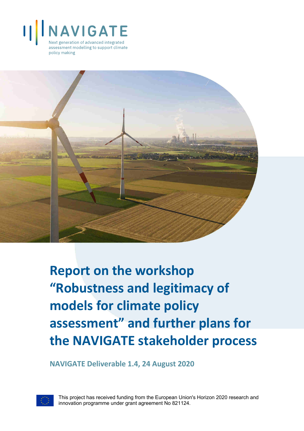



**Report on the workshop "Robustness and legitimacy of models for climate policy assessment" and further plans for the NAVIGATE stakeholder process**

**NAVIGATE Deliverable 1.4, 24 August 2020**



This project has received funding from the European Union's Horizon 2020 research and innovation programme under grant agreement No 821124.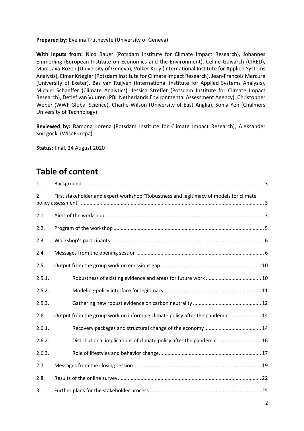#### **Prepared by:** Evelina Trutnevyte (University of Geneva)

**With inputs from:** Nico Bauer (Potsdam Institute for Climate Impact Research), Johannes Emmerling (European Institute on Economics and the Environment), Celine Guivarch (CIRED), Marc Jaxa-Rozen (University of Geneva), Volker Krey (International Institute for Applied Systems Analysis), Elmar Kriegler (Potsdam Institute for Climate Impact Research), Jean-Francois Mercure (University of Exeter), Bas van Ruijven (International Institute for Applied Systems Analysis), Michiel Schaeffer (Climate Analytics), Jessica Strefler (Potsdam Institute for Climate Impact Research), Detlef van Vuuren (PBL Netherlands Environmental Assessment Agency), Christopher Weber (WWF Global Science), Charlie Wilson (University of East Anglia), Sonia Yeh (Chalmers University of Technology)

**Reviewed by:** Ramona Lorenz (Potsdam Institute for Climate Impact Research), Aleksander Śniegocki (WiseEuropa)

**Status:** final, 24 August 2020

## **Table of content**

| 1.     |                                                                                        |
|--------|----------------------------------------------------------------------------------------|
| 2.     | First stakeholder and expert workshop "Robustness and legitimacy of models for climate |
| 2.1.   |                                                                                        |
| 2.2.   |                                                                                        |
| 2.3.   |                                                                                        |
| 2.4.   |                                                                                        |
| 2.5.   |                                                                                        |
| 2.5.1. |                                                                                        |
| 2.5.2. |                                                                                        |
| 2.5.3. |                                                                                        |
| 2.6.   | Output from the group work on informing climate policy after the pandemic 14           |
| 2.6.1. |                                                                                        |
| 2.6.2. | Distributional implications of climate policy after the pandemic 16                    |
| 2.6.3. |                                                                                        |
| 2.7.   |                                                                                        |
| 2.8.   |                                                                                        |
| 3.     |                                                                                        |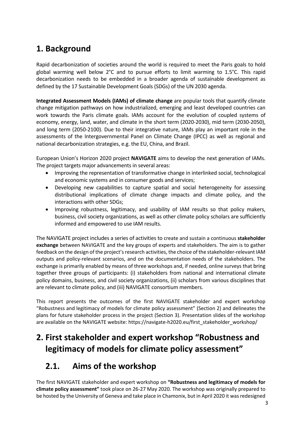## **1. Background**

Rapid decarbonization of societies around the world is required to meet the Paris goals to hold global warming well below 2°C and to pursue efforts to limit warming to 1.5°C. This rapid decarbonization needs to be embedded in a broader agenda of sustainable development as defined by the 17 Sustainable Development Goals (SDGs) of the UN 2030 agenda.

**Integrated Assessment Models (IAMs) of climate change** are popular tools that quantify climate change mitigation pathways on how industrialized, emerging and least developed countries can work towards the Paris climate goals. IAMs account for the evolution of coupled systems of economy, energy, land, water, and climate in the short term (2020-2030), mid term (2030-2050), and long term (2050-2100). Due to their integrative nature, IAMs play an important role in the assessments of the Intergovernmental Panel on Climate Change (IPCC) as well as regional and national decarbonization strategies, e.g. the EU, China, and Brazil.

European Union's Horizon 2020 project **NAVIGATE** aims to develop the next generation of IAMs. The project targets major advancements in several areas:

- Improving the representation of transformative change in interlinked social, technological and economic systems and in consumer goods and services;
- Developing new capabilities to capture spatial and social heterogeneity for assessing distributional implications of climate change impacts and climate policy, and the interactions with other SDGs;
- Improving robustness, legitimacy, and usability of IAM results so that policy makers, business, civil society organizations, as well as other climate policy scholars are sufficiently informed and empowered to use IAM results.

The NAVIGATE project includes a series of activities to create and sustain a continuous **stakeholder exchange** between NAVIGATE and the key groups of experts and stakeholders. The aim is to gather feedback on the design of the project's research activities, the choice of the stakeholder-relevant IAM outputs and policy-relevant scenarios, and on the documentation needs of the stakeholders. The exchange is primarily enabled by means of three workshops and, if needed, online surveys that bring together three groups of participants: (i) stakeholders from national and international climate policy domains, business, and civil society organizations, (ii) scholars from various disciplines that are relevant to climate policy, and (iii) NAVIGATE consortium members.

This report presents the outcomes of the first NAVIGATE stakeholder and expert workshop "Robustness and legitimacy of models for climate policy assessment" (Section 2) and delineates the plans for future stakeholder process in the project (Section 3). Presentation slides of the workshop are available on the NAVIGATE website: https://navigate-h2020.eu/first\_stakeholder\_workshop/

# **2. First stakeholder and expert workshop "Robustness and legitimacy of models for climate policy assessment"**

### **2.1. Aims of the workshop**

The first NAVIGATE stakeholder and expert workshop on **"Robustness and legitimacy of models for climate policy assessment"** took place on 26-27 May 2020. The workshop was originally prepared to be hosted by the University of Geneva and take place in Chamonix, but in April 2020 it was redesigned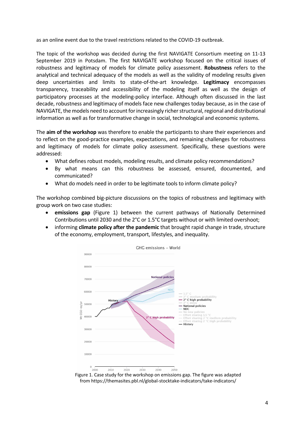as an online event due to the travel restrictions related to the COVID-19 outbreak.

The topic of the workshop was decided during the first NAVIGATE Consortium meeting on 11-13 September 2019 in Potsdam. The first NAVIGATE workshop focused on the critical issues of robustness and legitimacy of models for climate policy assessment. **Robustness** refers to the analytical and technical adequacy of the models as well as the validity of modeling results given deep uncertainties and limits to state-of-the-art knowledge. **Legitimacy** encompasses transparency, traceability and accessibility of the modeling itself as well as the design of participatory processes at the modeling-policy interface. Although often discussed in the last decade, robustness and legitimacy of models face new challenges today because, as in the case of NAVIGATE, the models need to account for increasingly richer structural, regional and distributional information as well as for transformative change in social, technological and economic systems.

The **aim of the workshop** was therefore to enable the participants to share their experiences and to reflect on the good-practice examples, expectations, and remaining challenges for robustness and legitimacy of models for climate policy assessment. Specifically, these questions were addressed:

- What defines robust models, modeling results, and climate policy recommendations?
- By what means can this robustness be assessed, ensured, documented, and communicated?
- What do models need in order to be legitimate tools to inform climate policy?

The workshop combined big-picture discussions on the topics of robustness and legitimacy with group work on two case studies:

- **emissions gap** (Figure 1) between the current pathways of Nationally Determined Contributions until 2030 and the 2°C or 1.5°C targets without or with limited overshoot;
- informing **climate policy after the pandemic** that brought rapid change in trade, structure of the economy, employment, transport, lifestyles, and inequality.



Figure 1. Case study for the workshop on emissions gap. The figure was adapted from https://themasites.pbl.nl/global-stocktake-indicators/take-indicators/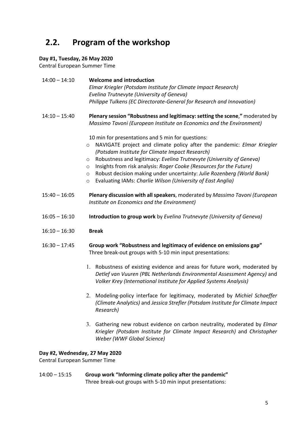## **2.2. Program of the workshop**

#### **Day #1, Tuesday, 26 May 2020**

Central European Summer Time

| $14:00 - 14:10$ | <b>Welcome and introduction</b><br>Elmar Kriegler (Potsdam Institute for Climate Impact Research)<br>Evelina Trutnevyte (University of Geneva)<br>Philippe Tulkens (EC Directorate-General for Research and Innovation)                                                                                                                                                                                                                                                                                                       |
|-----------------|-------------------------------------------------------------------------------------------------------------------------------------------------------------------------------------------------------------------------------------------------------------------------------------------------------------------------------------------------------------------------------------------------------------------------------------------------------------------------------------------------------------------------------|
| $14:10 - 15:40$ | Plenary session "Robustness and legitimacy: setting the scene," moderated by<br>Massimo Tavoni (European Institute on Economics and the Environment)                                                                                                                                                                                                                                                                                                                                                                          |
|                 | 10 min for presentations and 5 min for questions:<br>NAVIGATE project and climate policy after the pandemic: Elmar Kriegler<br>$\circ$<br>(Potsdam Institute for Climate Impact Research)<br>Robustness and legitimacy: Evelina Trutnevyte (University of Geneva)<br>$\circ$<br>Insights from risk analysis: Roger Cooke (Resources for the Future)<br>$\circ$<br>Robust decision making under uncertainty: Julie Rozenberg (World Bank)<br>$\circ$<br>Evaluating IAMs: Charlie Wilson (University of East Anglia)<br>$\circ$ |
| $15:40 - 16:05$ | Plenary discussion with all speakers, moderated by Massimo Tavoni (European<br>Institute on Economics and the Environment)                                                                                                                                                                                                                                                                                                                                                                                                    |
| $16:05 - 16:10$ | Introduction to group work by Evelina Trutnevyte (University of Geneva)                                                                                                                                                                                                                                                                                                                                                                                                                                                       |
| $16:10 - 16:30$ | <b>Break</b>                                                                                                                                                                                                                                                                                                                                                                                                                                                                                                                  |
| $16:30 - 17:45$ | Group work "Robustness and legitimacy of evidence on emissions gap"<br>Three break-out groups with 5-10 min input presentations:                                                                                                                                                                                                                                                                                                                                                                                              |
|                 | 1. Robustness of existing evidence and areas for future work, moderated by<br>Detlef van Vuuren (PBL Netherlands Environmental Assessment Agency) and<br>Volker Krey (International Institute for Applied Systems Analysis)                                                                                                                                                                                                                                                                                                   |
|                 | 2. Modeling-policy interface for legitimacy, moderated by Michiel Schaeffer<br>(Climate Analytics) and Jessica Strefler (Potsdam Institute for Climate Impact<br>Research)                                                                                                                                                                                                                                                                                                                                                    |
|                 | 3. Gathering new robust evidence on carbon neutrality, moderated by Elmar<br>Kriegler (Potsdam Institute for Climate Impact Research) and Christopher                                                                                                                                                                                                                                                                                                                                                                         |

#### **Day #2, Wednesday, 27 May 2020**

Central European Summer Time

14:00 – 15:15 **Group work "Informing climate policy after the pandemic"** Three break-out groups with 5-10 min input presentations:

*Weber (WWF Global Science)*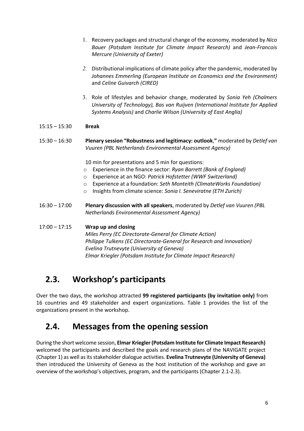- 1. Recovery packages and structural change of the economy, moderated by *Nico Bauer (Potsdam Institute for Climate Impact Research)* and *Jean-Francois Mercure (University of Exeter)*
- *2.* Distributional implications of climate policy after the pandemic, moderated by *Johannes Emmerling (European Institute on Economics and the Environment)*  and *Celine Guivarch (CIRED)*
- 3. Role of lifestyles and behavior change, moderated by *Sonia Yeh (Chalmers University of Technology), Bas van Ruijven (International Institute for Applied Systems Analysis)* and *Charlie Wilson (University of East Anglia)*

#### 15:15 – 15:30 **Break**

15:30 – 16:30 **Plenary session "Robustness and legitimacy: outlook**,**"** moderated by *Detlef van Vuuren (PBL Netherlands Environmental Assessment Agency)*

10 min for presentations and 5 min for questions:

- o Experience in the finance sector: *Ryan Barrett (Bank of England)*
- o Experience at an NGO: *Patrick Hofstetter (WWF Switzerland)*
- o Experience at a foundation: *Seth Monteith (ClimateWorks Foundation)*
- o Insights from climate science: *Sonia I. Seneviratne (ETH Zurich)*
- 16:30 17:00 **Plenary discussion with all speakers**, moderated by *Detlef van Vuuren (PBL Netherlands Environmental Assessment Agency)*

#### 17:00 – 17:15 **Wrap up and closing**

*Miles Perry (EC Directorate-General for Climate Action) Philippe Tulkens (EC Directorate-General for Research and Innovation) Evelina Trutnevyte (University of Geneva) Elmar Kriegler (Potsdam Institute for Climate Impact Research)*

#### **2.3. Workshop's participants**

Over the two days, the workshop attracted **99 registered participants (by invitation only)** from 16 countries and 49 stakeholder and expert organizations. Table 1 provides the list of the organizations present in the workshop.

#### **2.4. Messages from the opening session**

During the short welcome session, **Elmar Kriegler (Potsdam Institute for Climate Impact Research)** welcomed the participants and described the goals and research plans of the NAVIGATE project (Chapter 1) as well as its stakeholder dialogue activities. **Evelina Trutnevyte (University of Geneva)** then introduced the University of Geneva as the host institution of the workshop and gave an overview of the workshop's objectives, program, and the participants (Chapter 2.1-2.3).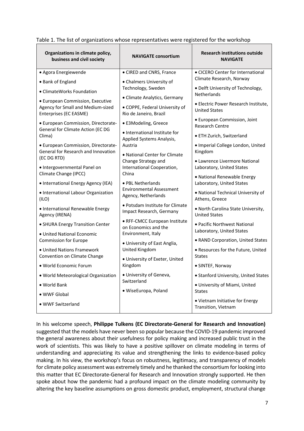| Organizations in climate policy,<br>business and civil society                                  | <b>NAVIGATE consortium</b>                                                               | <b>Research institutions outside</b><br><b>NAVIGATE</b>      |
|-------------------------------------------------------------------------------------------------|------------------------------------------------------------------------------------------|--------------------------------------------------------------|
| • Agora Energiewende                                                                            | • CIRED and CNRS, France                                                                 | • CICERO Center for International                            |
| • Bank of England                                                                               | • Chalmers University of                                                                 | Climate Research, Norway                                     |
| • ClimateWorks Foundation                                                                       | Technology, Sweden                                                                       | • Delft University of Technology,<br><b>Netherlands</b>      |
| · European Commission, Executive<br>Agency for Small and Medium-sized<br>Enterprises (EC EASME) | • Climate Analytics, Germany<br>• COPPE, Federal University of<br>Rio de Janeiro, Brazil | • Electric Power Research Institute,<br><b>United States</b> |
| · European Commission, Directorate-<br>General for Climate Action (EC DG<br>Clima)              | • E3Modeling, Greece                                                                     | • European Commission, Joint<br><b>Research Centre</b>       |
|                                                                                                 | • International Institute for<br>Applied Systems Analysis,                               | • ETH Zurich, Switzerland                                    |
| · European Commission, Directorate-<br>General for Research and Innovation                      | Austria<br>· National Center for Climate                                                 | · Imperial College London, United<br>Kingdom                 |
| (EC DG RTD)<br>· Intergovernmental Panel on                                                     | Change Strategy and<br>International Cooperation,                                        | • Lawrence Livermore National<br>Laboratory, United States   |
| Climate Change (IPCC)<br>• International Energy Agency (IEA)                                    | China<br>• PBL Netherlands                                                               | • National Renewable Energy<br>Laboratory, United States     |
| · International Labour Organization<br>(ILO)                                                    | <b>Environmental Assessment</b><br>Agency, Netherlands                                   | . National Technical University of<br>Athens, Greece         |
| • International Renewable Energy<br>Agency (IRENA)                                              | · Potsdam Institute for Climate<br>Impact Research, Germany                              | • North Carolina State University,<br><b>United States</b>   |
| • SHURA Energy Transition Center                                                                | • RFF-CMCC European Institute<br>on Economics and the                                    | • Pacific Northwest National<br>Laboratory, United States    |
| • United National Economic<br>Commission for Europe                                             | Environment, Italy                                                                       | • RAND Corporation, United States                            |
| • United Nations Framework<br>Convention on Climate Change                                      | • University of East Anglia,<br>United Kingdom                                           | • Resources for the Future, United<br><b>States</b>          |
| • World Economic Forum                                                                          | · University of Exeter, United<br>Kingdom                                                | • SINTEF, Norway                                             |
| · World Meteorological Organization                                                             | · University of Geneva,                                                                  | • Stanford University, United States                         |
| • World Bank                                                                                    | Switzerland                                                                              | · University of Miami, United                                |
| • WWF Global                                                                                    | · WiseEuropa, Poland                                                                     | <b>States</b>                                                |
| • WWF Switzerland                                                                               |                                                                                          | • Vietnam Initiative for Energy<br>Transition, Vietnam       |

Table 1. The list of organizations whose representatives were registered for the workshop

In his welcome speech, **Philippe Tulkens (EC Directorate-General for Research and Innovation)** suggested that the models have never been so popular because the COVID-19 pandemic improved the general awareness about their usefulness for policy making and increased public trust in the work of scientists. This was likely to have a positive spillover on climate modeling in terms of understanding and appreciating its value and strengthening the links to evidence-based policy making. In his view, the workshop's focus on robustness, legitimacy, and transparency of models for climate policy assessment was extremely timely and he thanked the consortium for looking into this matter that EC Directorate-General for Research and Innovation strongly supported. He then spoke about how the pandemic had a profound impact on the climate modeling community by altering the key baseline assumptions on gross domestic product, employment, structural change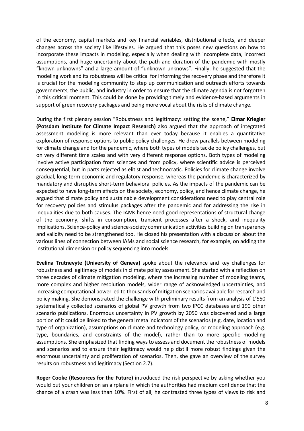of the economy, capital markets and key financial variables, distributional effects, and deeper changes across the society like lifestyles. He argued that this poses new questions on how to incorporate these impacts in modeling, especially when dealing with incomplete data, incorrect assumptions, and huge uncertainty about the path and duration of the pandemic with mostly "known unknowns" and a large amount of "unknown unknows". Finally, he suggested that the modeling work and its robustness will be critical for informing the recovery phase and therefore it is crucial for the modeling community to step up communication and outreach efforts towards governments, the public, and industry in order to ensure that the climate agenda is not forgotten in this critical moment. This could be done by providing timely and evidence-based arguments in support of green recovery packages and being more vocal about the risks of climate change.

During the first plenary session "Robustness and legitimacy: setting the scene," **Elmar Kriegler (Potsdam Institute for Climate Impact Research)** also argued that the approach of integrated assessment modeling is more relevant than ever today because it enables a quantitative exploration of response options to public policy challenges. He drew parallels between modeling for climate change and for the pandemic, where both types of models tackle policy challenges, but on very different time scales and with very different response options. Both types of modeling involve active participation from sciences and from policy, where scientific advice is perceived consequential, but in parts rejected as elitist and technocratic. Policies for climate change involve gradual, long-term economic and regulatory response, whereas the pandemic is characterized by mandatory and disruptive short-term behavioral policies. As the impacts of the pandemic can be expected to have long-term effects on the society, economy, policy, and hence climate change, he argued that climate policy and sustainable development considerations need to play central role for recovery policies and stimulus packages after the pandemic and for addressing the rise in inequalities due to both causes. The IAMs hence need good representations of structural change of the economy, shifts in consumption, transient processes after a shock, and inequality implications. Science-policy and science-society communication activities building on transparency and validity need to be strengthened too. He closed his presentation with a discussion about the various lines of connection between IAMs and social science research, for example, on adding the institutional dimension or policy sequencing into models.

**Evelina Trutnevyte (University of Geneva)** spoke about the relevance and key challenges for robustness and legitimacy of models in climate policy assessment. She started with a reflection on three decades of climate mitigation modeling, where the increasing number of modeling teams, more complex and higher resolution models, wider range of acknowledged uncertainties, and increasing computational power led to thousands of mitigation scenarios available for research and policy making. She demonstrated the challenge with preliminary results from an analysis of 1'550 systematically collected scenarios of global PV growth from two IPCC databases and 190 other scenario publications. Enormous uncertainty in PV growth by 2050 was discovered and a large portion of it could be linked to the general meta indicators of the scenarios (e.g. date, location and type of organization), assumptions on climate and technology policy, or modeling approach (e.g. type, boundaries, and constraints of the model), rather than to more specific modeling assumptions. She emphasized that finding ways to assess and document the robustness of models and scenarios and to ensure their legitimacy would help distill more robust findings given the enormous uncertainty and proliferation of scenarios. Then, she gave an overview of the survey results on robustness and legitimacy (Section 2.7).

**Roger Cooke (Resources for the Future)** introduced the risk perspective by asking whether you would put your children on an airplane in which the authorities had medium confidence that the chance of a crash was less than 10%. First of all, he contrasted three types of views to risk and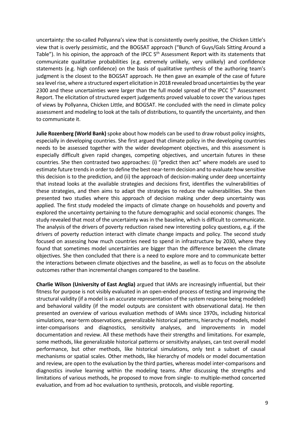uncertainty: the so-called Pollyanna's view that is consistently overly positive, the Chicken Little's view that is overly pessimistic, and the BOGSAT approach ("Bunch of Guys/Gals Sitting Around a Table"). In his opinion, the approach of the IPCC 5<sup>th</sup> Assessment Report with its statements that communicate qualitative probabilities (e.g. extremely unlikely, very unlikely) and confidence statements (e.g. high confidence) on the basis of qualitative synthesis of the authoring team's judgment is the closest to the BOGSAT approach. He then gave an example of the case of future sea level rise, where a structured expert elicitation in 2018 revealed broad uncertainties by the year 2300 and these uncertainties were larger than the full model spread of the IPCC  $5<sup>th</sup>$  Assessment Report. The elicitation of structured expert judgements proved valuable to cover the various types of views by Pollyanna, Chicken Little, and BOGSAT. He concluded with the need in climate policy assessment and modeling to look at the tails of distributions, to quantify the uncertainty, and then to communicate it.

**Julie Rozenberg (World Bank)** spoke about how models can be used to draw robust policy insights, especially in developing countries. She first argued that climate policy in the developing countries needs to be assessed together with the wider development objectives, and this assessment is especially difficult given rapid changes, competing objectives, and uncertain futures in these countries. She then contrasted two approaches: (i) "predict then act" where models are used to estimate future trends in order to define the best near-term decision and to evaluate how sensitive this decision is to the prediction, and (ii) the approach of decision-making under deep uncertainty that instead looks at the available strategies and decisions first, identifies the vulnerabilities of these strategies, and then aims to adapt the strategies to reduce the vulnerabilities. She then presented two studies where this approach of decision making under deep uncertainty was applied. The first study modeled the impacts of climate change on households and poverty and explored the uncertainty pertaining to the future demographic and social economic changes. The study revealed that most of the uncertainty was in the baseline, which is difficult to communicate. The analysis of the drivers of poverty reduction raised new interesting policy questions, e.g. if the drivers of poverty reduction interact with climate change impacts and policy. The second study focused on assessing how much countries need to spend in infrastructure by 2030, where they found that sometimes model uncertainties are bigger than the difference between the climate objectives. She then concluded that there is a need to explore more and to communicate better the interactions between climate objectives and the baseline, as well as to focus on the absolute outcomes rather than incremental changes compared to the baseline.

**Charlie Wilson (University of East Anglia)** argued that IAMs are increasingly influential, but their fitness for purpose is not visibly evaluated in an open-ended process of testing and improving the structural validity (if a model is an accurate representation of the system response being modeled) and behavioral validity (if the model outputs are consistent with observational data). He then presented an overview of various evaluation methods of IAMs since 1970s, including historical simulations, near-term observations, generalizable historical patterns, hierarchy of models, model inter-comparisons and diagnostics, sensitivity analyses, and improvements in model documentation and review. All these methods have their strengths and limitations. For example, some methods, like generalizable historical patterns or sensitivity analyses, can test overall model performance, but other methods, like historical simulations, only test a subset of causal mechanisms or spatial scales. Other methods, like hierarchy of models or model documentation and review, are open to the evaluation by the third parties, whereas model inter-comparisons and diagnostics involve learning within the modeling teams. After discussing the strengths and limitations of various methods, he proposed to move from single- to multiple-method concerted evaluation, and from ad hoc evaluation to synthesis, protocols, and visible reporting.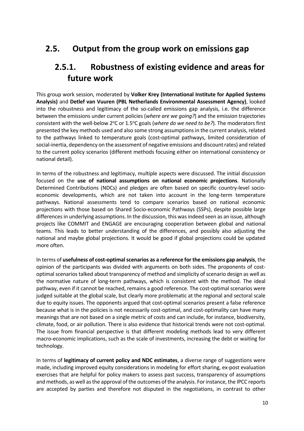### **2.5. Output from the group work on emissions gap**

#### **2.5.1. Robustness of existing evidence and areas for future work**

This group work session, moderated by **Volker Krey (International Institute for Applied Systems Analysis)** and **Detlef van Vuuren (PBL Netherlands Environmental Assessment Agency)**, looked into the robustness and legitimacy of the so-called emissions gap analysis, i.e. the difference between the emissions under current policies (*where are we going?*) and the emission trajectories consistent with the well-below 2<sup>o</sup>C or 1.5<sup>o</sup>C goals (*where do we need to be?*). The moderators first presented the key methods used and also some strong assumptions in the current analysis, related to the pathways linked to temperature goals (cost-optimal pathways, limited consideration of social-inertia, dependency on the assessment of negative emissions and discount rates) and related to the current policy scenarios (different methods focusing either on international consistency or national detail).

In terms of the robustness and legitimacy, multiple aspects were discussed. The initial discussion focused on the **use of national assumptions on national economic projections**. Nationally Determined Contributions (NDCs) and pledges are often based on specific country-level socioeconomic developments, which are not taken into account in the long-term temperature pathways. National assessments tend to compare scenarios based on national economic projections with those based on Shared Socio-economic Pathways (SSPs), despite possible large differences in underlying assumptions. In the discussion, this was indeed seen as an issue, although projects like COMMIT and ENGAGE are encouraging cooperation between global and national teams. This leads to better understanding of the differences, and possibly also adjusting the national and maybe global projections. It would be good if global projections could be updated more often.

In terms of **usefulness of cost-optimal scenarios as a reference for the emissions gap analysis**, the opinion of the participants was divided with arguments on both sides. The proponents of costoptimal scenarios talked about transparency of method and simplicity of scenario design as well as the normative nature of long-term pathways, which is consistent with the method. The ideal pathway, even if it cannot be reached, remains a good reference. The cost-optimal scenarios were judged suitable at the global scale, but clearly more problematic at the regional and sectoral scale due to equity issues. The opponents argued that cost-optimal scenarios present a false reference because what is in the policies is not necessarily cost-optimal, and cost-optimality can have many meanings that are not based on a single metric of costs and can include, for instance, biodiversity, climate, food, or air pollution. There is also evidence that historical trends were not cost-optimal. The issue from financial perspective is that different modeling methods lead to very different macro-economic implications, such as the scale of investments, increasing the debt or waiting for technology.

In terms of **legitimacy of current policy and NDC estimates**, a diverse range of suggestions were made, including improved equity considerations in modeling for effort sharing, ex-post evaluation exercises that are helpful for policy makers to assess past success, transparency of assumptions and methods, as well as the approval of the outcomes of the analysis. For instance, the IPCC reports are accepted by parties and therefore not disputed in the negotiations, in contrast to other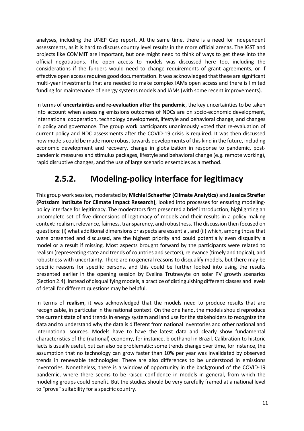analyses, including the UNEP Gap report. At the same time, there is a need for independent assessments, as it is hard to discuss country level results in the more official arenas. The IGST and projects like COMMIT are important, but one might need to think of ways to get these into the official negotiations. The open access to models was discussed here too, including the considerations if the funders would need to change requirements of grant agreements, or if effective open access requires good documentation. It was acknowledged that these are significant multi-year investments that are needed to make complex IAMs open access and there is limited funding for maintenance of energy systems models and IAMs (with some recent improvements).

In terms of **uncertainties and re-evaluation after the pandemic**, the key uncertainties to be taken into account when assessing emissions outcomes of NDCs are on socio-economic development, international cooperation, technology development, lifestyle and behavioral change, and changes in policy and governance. The group work participants unanimously voted that re-evaluation of current policy and NDC assessments after the COVID-19 crisis is required. It was then discussed how models could be made more robust towards developments of this kind in the future, including economic development and recovery, change in globalization in response to pandemic, postpandemic measures and stimulus packages, lifestyle and behavioral change (e.g. remote working), rapid disruptive changes, and the use of large scenario ensembles as a method.

## **2.5.2. Modeling-policy interface for legitimacy**

This group work session, moderated by **Michiel Schaeffer (Climate Analytics)** and **Jessica Strefler (Potsdam Institute for Climate Impact Research)**, looked into processes for ensuring modelingpolicy interface for legitimacy. The moderators first presented a brief introduction, highlighting an uncomplete set of five dimensions of legitimacy of models and their results in a policy making context: realism, relevance, fairness, transparency, and robustness. The discussion then focused on questions: (i) what additional dimensions or aspects are essential, and (ii) which, among those that were presented and discussed, are the highest priority and could potentially even disqualify a model or a result if missing. Most aspects brought forward by the participants were related to realism (representing state and trends of countries and sectors), relevance (timely and topical), and robustness with uncertainty. There are no general reasons to disqualify models, but there may be specific reasons for specific persons, and this could be further looked into using the results presented earlier in the opening session by Evelina Trutnevyte on solar PV growth scenarios (Section 2.4). Instead of disqualifying models, a practice of distinguishing different classes and levels of detail for different questions may be helpful.

In terms of **realism**, it was acknowledged that the models need to produce results that are recognizable, in particular in the national context. On the one hand, the models should reproduce the current state of and trends in energy system and land use for the stakeholders to recognize the data and to understand why the data is different from national inventories and other national and international sources. Models have to have the latest data and clearly show fundamental characteristics of the (national) economy, for instance, bioethanol in Brazil. Calibration to historic facts is usually useful, but can also be problematic: some trends change over time, for instance, the assumption that no technology can grow faster than 10% per year was invalidated by observed trends in renewable technologies. There are also differences to be understood in emissions inventories. Nonetheless, there is a window of opportunity in the background of the COVID-19 pandemic, where there seems to be raised confidence in models in general, from which the modeling groups could benefit. But the studies should be very carefully framed at a national level to "prove" suitability for a specific country.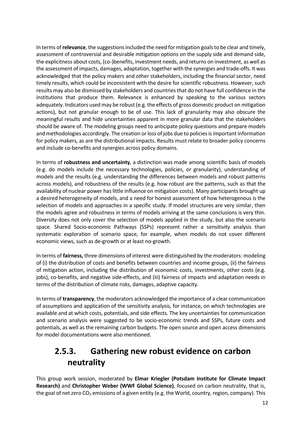In terms of **relevance**, the suggestions included the need for mitigation goals to be clear and timely, assessment of controversial and desirable mitigation options on the supply side and demand side, the explicitness about costs, (co-)benefits, investment needs, and returns on investment, as well as the assessment of impacts, damages, adaptation, together with the synergies and trade-offs. It was acknowledged that the policy makers and other stakeholders, including the financial sector, need timely results, which could be inconsistent with the desire for scientific robustness. However, such results may also be dismissed by stakeholders and countries that do not have full confidence in the institutions that produce them. Relevance is enhanced by speaking to the various sectors adequately. Indicators used may be robust (e.g. the effects of gross domestic product on mitigation actions), but not granular enough to be of use. This lack of granularity may also obscure the meaningful results and hide uncertainties apparent in more granular data that the stakeholders should be aware of. The modeling groups need to anticipate policy questions and prepare models and methodologies accordingly. The creation or loss of jobs due to policies is important information for policy makers, as are the distributional impacts. Results must relate to broader policy concerns and include co-benefits and synergies across policy domains.

In terms of **robustness and uncertainty**, a distinction was made among scientific basis of models (e.g. do models include the necessary technologies, policies, or granularity), understanding of models and the results (e.g. understanding the differences between models and robust patterns across models), and robustness of the results (e.g. how robust are the patterns, such as that the availability of nuclear power has little influence on mitigation costs). Many participants brought up a desired heterogeneity of models, and a need for honest assessment of how heterogenous is the selection of models and approaches in a specific study. If model structures are very similar, then the models agree and robustness in terms of models arriving at the same conclusions is very thin. Diversity does not only cover the selection of models applied in the study, but also the scenario space. Shared Socio-economic Pathways (SSPs) represent rather a sensitivity analysis than systematic exploration of scenario space, for example, when models do not cover different economic views, such as de-growth or at least no-growth.

In terms of **fairness,** three dimensions of interest were distinguished by the moderators: modeling of (i) the distribution of costs and benefits between countries and income groups, (ii) the fairness of mitigation action, including the distribution of economic costs, investments, other costs (e.g. jobs), co-benefits, and negative side-effects, and (iii) fairness of impacts and adaptation needs in terms of the distribution of climate risks, damages, adaptive capacity.

In terms of **transparency**, the moderators acknowledged the importance of a clear communication of assumptions and application of the sensitivity analysis, for instance, on which technologies are available and at which costs, potentials, and side effects. The key uncertainties for communication and scenario analysis were suggested to be socio-economic trends and SSPs, future costs and potentials, as well as the remaining carbon budgets. The open source and open access dimensions for model documentations were also mentioned.

## **2.5.3. Gathering new robust evidence on carbon neutrality**

This group work session, moderated by **Elmar Kriegler (Potsdam Institute for Climate Impact Research)** and **Christopher Weber (WWF Global Science)**, focused on carbon neutrality, that is, the goal of net zero  $CO_2$  emissions of a given entity (e.g. the World, country, region, company). This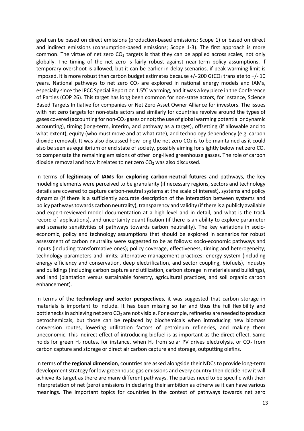goal can be based on direct emissions (production-based emissions; Scope 1) or based on direct and indirect emissions (consumption-based emissions; Scope 1-3). The first approach is more common. The virtue of net zero  $CO<sub>2</sub>$  targets is that they can be applied across scales, not only globally. The timing of the net zero is fairly robust against near-term policy assumptions, if temporary overshoot is allowed, but it can be earlier in delay scenarios, if peak warming limit is imposed. It is more robust than carbon budget estimates because  $+/-100$  GtCO<sub>2</sub> translate to  $+/-10$ years. National pathways to net zero  $CO<sub>2</sub>$  are explored in national energy models and IAMs, especially since the IPCC Special Report on  $1.5^{\circ}$ C warming, and it was a key piece in the Conference of Parties (COP 26). This target has long been common for non-state actors, for instance, Science Based Targets Initiative for companies or Net Zero Asset Owner Alliance for investors. The issues with net zero targets for non-state actors and similarly for countries revolve around the types of gases covered (accounting for non- $CO<sub>2</sub>$  gases or not; the use of global warming potential or dynamic accounting), timing (long-term, interim, and pathway as a target), offsetting (if allowable and to what extent), equity (who must move and at what rate), and technology dependency (e.g. carbon dioxide removal). It was also discussed how long the net zero  $CO<sub>2</sub>$  is to be maintained as it could also be seen as equilibrium or end state of society, possibly aiming for slightly below net zero CO<sub>2</sub> to compensate the remaining emissions of other long-lived greenhouse gasses. The role of carbon dioxide removal and how it relates to net zero  $CO<sub>2</sub>$  was also discussed.

In terms of **legitimacy of IAMs for exploring carbon-neutral futures** and pathways, the key modeling elements were perceived to be granularity (if necessary regions, sectors and technology details are covered to capture carbon-neutral systems at the scale of interest), systems and policy dynamics (if there is a sufficiently accurate description of the interaction between systems and policy pathways towards carbon neutrality), transparency and validity (if there is a publicly available and expert-reviewed model documentation at a high level and in detail, and what is the track record of applications), and uncertainty quantification (if there is an ability to explore parameter and scenario sensitivities of pathways towards carbon neutrality). The key variations in socioeconomic, policy and technology assumptions that should be explored in scenarios for robust assessment of carbon neutrality were suggested to be as follows: socio-economic pathways and inputs (including transformative ones); policy coverage, effectiveness, timing and heterogeneity; technology parameters and limits; alternative management practices; energy system (including energy efficiency and conservation, deep electrification, and sector coupling, biofuels), industry and buildings (including carbon capture and utilization, carbon storage in materials and buildings), and land (plantation versus sustainable forestry, agricultural practices, and soil organic carbon enhancement).

In terms of the **technology and sector perspectives**, it was suggested that carbon storage in materials is important to include. It has been missing so far and thus the full flexibility and bottlenecks in achieving net zero  $CO<sub>2</sub>$  are not visible. For example, refineries are needed to produce petrochemicals, but those can be replaced by biochemicals when introducing new biomass conversion routes, lowering utilization factors of petroleum refineries, and making them uneconomic. This indirect effect of introducing biofuel is as important as the direct effect. Same holds for green H<sub>2</sub> routes, for instance, when H<sub>2</sub> from solar PV drives electrolysis, or CO<sub>2</sub> from carbon capture and storage or direct air carbon capture and storage, outputting olefins.

In terms of the **regional dimension**, countries are asked alongside their NDCs to provide long-term development strategy for low greenhouse gas emissions and every country then decide how it will achieve its target as there are many different pathways. The parties need to be specific with their interpretation of net (zero) emissions in declaring their ambition as otherwise it can have various meanings. The important topics for countries in the context of pathways towards net zero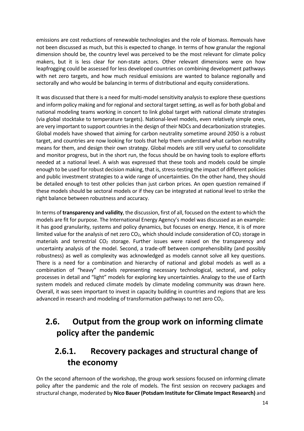emissions are cost reductions of renewable technologies and the role of biomass. Removals have not been discussed as much, but this is expected to change. In terms of how granular the regional dimension should be, the country level was perceived to be the most relevant for climate policy makers, but it is less clear for non-state actors. Other relevant dimensions were on how leapfrogging could be assessed for less developed countries on combining development pathways with net zero targets, and how much residual emissions are wanted to balance regionally and sectorally and who would be balancing in terms of distributional and equity considerations.

It was discussed that there is a need for multi-model sensitivity analysis to explore these questions and inform policy making and for regional and sectoral target setting, as well as for both global and national modeling teams working in concert to link global target with national climate strategies (via global stocktake to temperature targets). National-level models, even relatively simple ones, are very important to support countries in the design of their NDCs and decarbonization strategies. Global models have showed that aiming for carbon neutrality sometime around 2050 is a robust target, and countries are now looking for tools that help them understand what carbon neutrality means for them, and design their own strategy. Global models are still very useful to consolidate and monitor progress, but in the short run, the focus should be on having tools to explore efforts needed at a national level. A wish was expressed that these tools and models could be simple enough to be used for robust decision making, that is, stress-testing the impact of different policies and public investment strategies to a wide range of uncertainties. On the other hand, they should be detailed enough to test other policies than just carbon prices. An open question remained if these models should be sectoral models or if they can be integrated at national level to strike the right balance between robustness and accuracy.

In terms of **transparency and validity**, the discussion, first of all, focused on the extent to which the models are fit for purpose. The International Energy Agency's model was discussed as an example: it has good granularity, systems and policy dynamics, but focuses on energy. Hence, it is of more limited value for the analysis of net zero  $CO<sub>2</sub>$ , which should include consideration of  $CO<sub>2</sub>$  storage in materials and terrestrial  $CO<sub>2</sub>$  storage. Further issues were raised on the transparency and uncertainty analysis of the model. Second, a trade-off between comprehensibility (and possibly robustness) as well as complexity was acknowledged as models cannot solve all key questions. There is a need for a combination and hierarchy of national and global models as well as a combination of "heavy" models representing necessary technological, sectoral, and policy processes in detail and "light" models for exploring key uncertainties. Analogy to the use of Earth system models and reduced climate models by climate modeling community was drawn here. Overall, it was seen important to invest in capacity building in countries and regions that are less advanced in research and modeling of transformation pathways to net zero CO<sub>2</sub>.

# **2.6. Output from the group work on informing climate policy after the pandemic**

## **2.6.1. Recovery packages and structural change of the economy**

On the second afternoon of the workshop, the group work sessions focused on informing climate policy after the pandemic and the role of models. The first session on recovery packages and structural change, moderated by **Nico Bauer (Potsdam Institute for Climate Impact Research)** and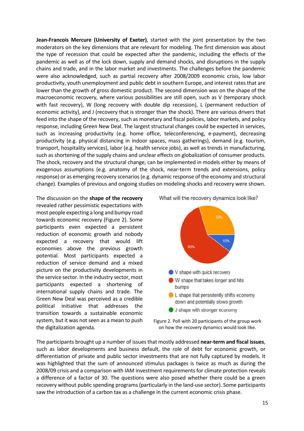**Jean-Francois Mercure (University of Exeter)**, started with the joint presentation by the two moderators on the key dimensions that are relevant for modeling. The first dimension was about the type of recession that could be expected after the pandemic, including the effects of the pandemic as well as of the lock down, supply and demand shocks, and disruptions in the supply chains and trade, and in the labor market and investments. The challenges before the pandemic were also acknowledged, such as partial recovery after 2008/2009 economic crisis, low labor productivity, youth unemployment and public debt in southern Europe, and interest rates that are lower than the growth of gross domestic product. The second dimension was on the shape of the macroeconomic recovery, where various possibilities are still open, such as V (temporary shock with fast recovery), W (long recovery with double dip recession), L (permanent reduction of economic activity), and J (recovery that is stronger than the shock). There are various drivers that feed into the shape of the recovery, such as monetary and fiscal policies, labor markets, and policy response, including Green New Deal. The largest structural changes could be expected in services, such as increasing productivity (e.g. home office, teleconferencing, e-payment), decreasing productivity (e.g. physical distancing in indoor spaces, mass gatherings), demand (e.g. tourism, transport, hospitality services), labor (e.g. health service jobs), as well as trends in manufacturing, such as shortening of the supply chains and unclear effects on globalization of consumer products. The shock, recovery and the structural change, can be implemented in models either by means of exogenous assumptions (e.g. anatomy of the shock, near-term trends and extensions, policy response) or as emerging recovery scenarios (e.g. dynamic response of the economy and structural change). Examples of previous and ongoing studies on modeling shocks and recovery were shown.

The discussion on the **shape of the recovery** revealed rather pessimistic expectations with most people expecting a long and bumpy road towards economic recovery (Figure 2). Some participants even expected a persistent reduction of economic growth and nobody expected a recovery that would lift economies above the previous growth potential. Most participants expected a reduction of service demand and a mixed picture on the productivity developments in the service sector. In the industry sector, most participants expected a shortening of international supply chains and trade. The Green New Deal was perceived as a credible political initiative that addresses the transition towards a sustainable economic system, but it was not seen as a mean to push the digitalization agenda.

What will the recovery dynamics look like?



Figure 2. Poll with 20 participants of the group work on how the recovery dynamics would look like.

The participants brought up a number of issues that mostly addressed **near-term and fiscal issues**, such as labor developments and business default, the role of debt for economic growth, or differentiation of private and public sector investments that are not fully captured by models. It was highlighted that the sum of announced stimulus packages is twice as much as during the 2008/09 crisis and a comparison with IAM investment requirements for climate protection reveals a difference of a factor of 30. The questions were also posed whether there could be a green recovery without public spending programs (particularly in the land-use sector). Some participants saw the introduction of a carbon tax as a challenge in the current economic crisis phase.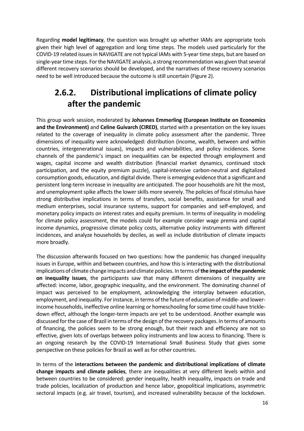Regarding **model legitimacy**, the question was brought up whether IAMs are appropriate tools given their high level of aggregation and long time steps. The models used particularly for the COVID-19 related issues in NAVIGATE are not typical IAMs with 5-year time steps, but are based on single-year time steps. For the NAVIGATE analysis, a strong recommendation was given that several different recovery scenarios should be developed, and the narratives of these recovery scenarios need to be well introduced because the outcome is still uncertain (Figure 2).

## **2.6.2. Distributional implications of climate policy after the pandemic**

This group work session, moderated by **Johannes Emmerling (European Institute on Economics and the Environment)** and **Celine Guivarch (CIRED)**, started with a presentation on the key issues related to the coverage of inequality in climate policy assessment after the pandemic. Three dimensions of inequality were acknowledged: distribution (income, wealth, between and within countries, intergenerational issues), impacts and vulnerabilities, and policy incidences. Some channels of the pandemic's impact on inequalities can be expected through employment and wages, capital income and wealth distribution (financial market dynamics, continued stock participation, and the equity premium puzzle), capital-intensive carbon-neutral and digitalized consumption goods, education, and digital divide. There is emerging evidence that a significant and persistent long-term increase in inequality are anticipated. The poor households are hit the most, and unemployment spike affects the lower skills more severely. The policies of fiscal stimulus have strong distributive implications in terms of transfers, social benefits, assistance for small and medium enterprises, social insurance systems, support for companies and self-employed, and monetary policy impacts on interest rates and equity premium. In terms of inequality in modeling for climate policy assessment, the models could for example consider wage premia and capital income dynamics, progressive climate policy costs, alternative policy instruments with different incidences, and analyze households by deciles, as well as include distribution of climate impacts more broadly.

The discussion afterwards focused on two questions: how the pandemic has changed inequality issues in Europe, within and between countries, and how this is interacting with the distributional implications of climate change impacts and climate policies. In terms of **the impact of the pandemic on inequality issues**, the participants saw that many different dimensions of inequality are affected: income, labor, geographic inequality, and the environment. The dominating channel of impact was perceived to be employment, acknowledging the interplay between education, employment, and inequality. For instance, in terms of the future of education of middle- and lowerincome households, ineffective online learning or homeschooling for some time could have trickledown effect, although the longer-term impacts are yet to be understood. Another example was discussed for the case of Brazil in terms of the design of the recovery packages. In terms of amounts of financing, the policies seem to be strong enough, but their reach and efficiency are not so effective, given lots of overlaps between policy instruments and low access to financing. There is an ongoing research by the COVID-19 International Small Business Study that gives some perspective on these policies for Brazil as well as for other countries.

In terms of the **interactions between the pandemic and distributional implications of climate change impacts and climate policies**, there are inequalities at very different levels within and between countries to be considered: gender inequality, health inequality, impacts on trade and trade policies, localization of production and hence labor, geopolitical implications, asymmetric sectoral impacts (e.g. air travel, tourism), and increased vulnerability because of the lockdown.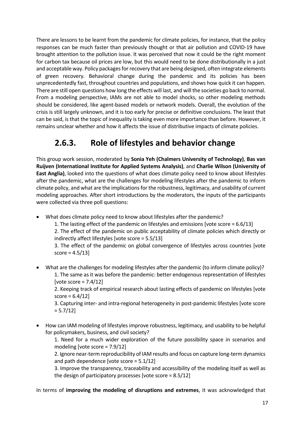There are lessons to be learnt from the pandemic for climate policies, for instance, that the policy responses can be much faster than previously thought or that air pollution and COVID-19 have brought attention to the pollution issue. It was perceived that now it could be the right moment for carbon tax because oil prices are low, but this would need to be done distributionally in a just and acceptable way. Policy packages for recovery that are being designed, often integrate elements of green recovery. Behavioral change during the pandemic and its policies has been unprecedentedly fast, throughout countries and populations, and shows how quick it can happen. There are still open questions how long the effects will last, and will the societies go back to normal. From a modeling perspective, IAMs are not able to model shocks, so other modeling methods should be considered, like agent-based models or network models. Overall, the evolution of the crisis is still largely unknown, and it is too early for precise or definitive conclusions. The least that can be said, is that the topic of inequality is taking even more importance than before. However, it remains unclear whether and how it affects the issue of distributive impacts of climate policies.

## **2.6.3. Role of lifestyles and behavior change**

This group work session, moderated by **Sonia Yeh (Chalmers University of Technology)**, **Bas van Ruijven (International Institute for Applied Systems Analysis)**, and **Charlie Wilson (University of East Anglia)**, looked into the questions of what does climate policy need to know about lifestyles after the pandemic, what are the challenges for modeling lifestyles after the pandemic to inform climate policy, and what are the implications for the robustness, legitimacy, and usability of current modeling approaches. After short introductions by the moderators, the inputs of the participants were collected via three poll questions:

- What does climate policy need to know about lifestyles after the pandemic?
	- 1. The lasting effect of the pandemic on lifestyles and emissions [vote score = 6.6/13]
	- 2. The effect of the pandemic on public acceptability of climate policies which directly or indirectly affect lifestyles [vote score = 5.5/13]

3. The effect of the pandemic on global convergence of lifestyles across countries [vote  $score = 4.5/13$ 

• What are the challenges for modeling lifestyles after the pandemic (to inform climate policy)? 1. The same as it was before the pandemic: better endogenous representation of lifestyles [vote score =  $7.4/12$ ]

2. Keeping track of empirical research about lasting effects of pandemic on lifestyles [vote  $score = 6.4/12$ 

3. Capturing inter- and intra-regional heterogeneity in post-pandemic lifestyles [vote score  $= 5.7/12$ ]

• How can IAM modeling of lifestyles improve robustness, legitimacy, and usability to be helpful for policymakers, business, and civil society?

1. Need for a much wider exploration of the future possibility space in scenarios and modeling [vote score = 7.9/12]

2. Ignore near-term reproducibility of IAM results and focus on capture long-term dynamics and path dependence [vote score = 5.1/12]

3. Improve the transparency, traceability and accessibility of the modeling itself as well as the design of participatory processes [vote score = 8.5/12]

In terms of **improving the modeling of disruptions and extremes**, it was acknowledged that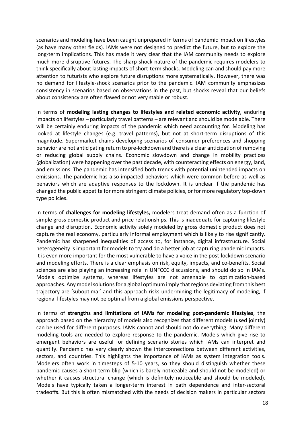scenarios and modeling have been caught unprepared in terms of pandemic impact on lifestyles (as have many other fields). IAMs were not designed to predict the future, but to explore the long-term implications. This has made it very clear that the IAM community needs to explore much more disruptive futures. The sharp shock nature of the pandemic requires modelers to think specifically about lasting impacts of short-term shocks. Modeling can and should pay more attention to futurists who explore future disruptions more systematically. However, there was no demand for lifestyle-shock scenarios prior to the pandemic. IAM community emphasizes consistency in scenarios based on observations in the past, but shocks reveal that our beliefs about consistency are often flawed or not very stable or robust.

In terms of **modeling lasting changes to lifestyles and related economic activity**, enduring impacts on lifestyles – particularly travel patterns – are relevant and should be modelable. There will be certainly enduring impacts of the pandemic which need accounting for. Modeling has looked at lifestyle changes (e.g. travel patterns), but not at short-term disruptions of this magnitude. Supermarket chains developing scenarios of consumer preferences and shopping behavior are not anticipating return to pre-lockdown and there is a clear anticipation of removing or reducing global supply chains. Economic slowdown and change in mobility practices (globalization) were happening over the past decade, with counteracting effects on energy, land, and emissions. The pandemic has intensified both trends with potential unintended impacts on emissions. The pandemic has also impacted behaviors which were common before as well as behaviors which are adaptive responses to the lockdown. It is unclear if the pandemic has changed the public appetite for more stringent climate policies, or for more regulatory top-down type policies.

In terms of **challenges for modeling lifestyles,** modelers treat demand often as a function of simple gross domestic product and price relationships. This is inadequate for capturing lifestyle change and disruption. Economic activity solely modeled by gross domestic product does not capture the real economy, particularly informal employment which is likely to rise significantly. Pandemic has sharpened inequalities of access to, for instance, digital infrastructure. Social heterogeneity is important for models to try and do a better job at capturing pandemic impacts. It is even more important for the most vulnerable to have a voice in the post-lockdown scenario and modeling efforts. There is a clear emphasis on risk, equity, impacts, and co-benefits. Social sciences are also playing an increasing role in UNFCCC discussions, and should do so in IAMs. Models optimize systems, whereas lifestyles are not amenable to optimization-based approaches. Any model solutions for a global optimum imply that regions deviating from this best trajectory are 'suboptimal' and this approach risks undermining the legitimacy of modeling, if regional lifestyles may not be optimal from a global emissions perspective.

In terms of **strengths and limitations of IAMs for modeling post-pandemic lifestyles**, the approach based on the hierarchy of models also recognizes that different models (used jointly) can be used for different purposes. IAMs cannot and should not do everything. Many different modeling tools are needed to explore response to the pandemic. Models which give rise to emergent behaviors are useful for defining scenario stories which IAMs can interpret and quantify. Pandemic has very clearly shown the interconnections between different activities, sectors, and countries. This highlights the importance of IAMs as system integration tools. Modelers often work in timesteps of 5-10 years, so they should distinguish whether these pandemic causes a short-term blip (which is barely noticeable and should not be modeled) or whether it causes structural change (which is definitely noticeable and should be modeled). Models have typically taken a longer-term interest in path dependence and inter-sectoral tradeoffs. But this is often mismatched with the needs of decision makers in particular sectors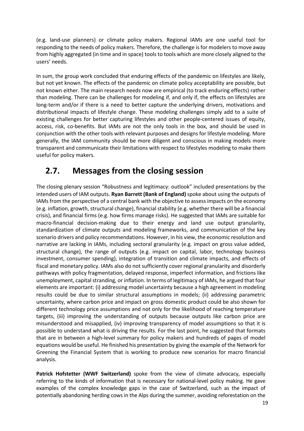(e.g. land-use planners) or climate policy makers. Regional IAMs are one useful tool for responding to the needs of policy makers. Therefore, the challenge is for modelers to move away from highly aggregated (in time and in space) tools to tools which are more closely aligned to the users' needs.

In sum, the group work concluded that enduring effects of the pandemic on lifestyles are likely, but not yet known. The effects of the pandemic on climate policy acceptability are possible, but not known either. The main research needs now are empirical (to track enduring effects) rather than modeling. There can be challenges for modeling if, and only if, the effects on lifestyles are long-term and/or if there is a need to better capture the underlying drivers, motivations and distributional impacts of lifestyle change. These modeling challenges simply add to a suite of existing challenges for better capturing lifestyles and other people-centered issues of equity, access, risk, co-benefits. But IAMs are not the only tools in the box, and should be used in conjunction with the other tools with relevant purposes and designs for lifestyle modeling. More generally, the IAM community should be more diligent and conscious in making models more transparent and communicate their limitations with respect to lifestyles modeling to make them useful for policy makers.

#### **2.7. Messages from the closing session**

The closing plenary session "Robustness and legitimacy: outlook" included presentations by the intended users of IAM outputs. **Ryan Barrett (Bank of England)** spoke about using the outputs of IAMs from the perspective of a central bank with the objective to assess impacts on the economy (e.g. inflation, growth, structural change), financial stability (e.g. whether there will be a financial crisis), and financial firms (e.g. how firms manage risks). He suggested that IAMs are suitable for macro-financial decision-making due to their energy and land use output granularity, standardization of climate outputs and modeling frameworks, and communication of the key scenario drivers and policy recommendations. However, in his view, the economic resolution and narrative are lacking in IAMs, including sectoral granularity (e.g. impact on gross value added, structural change), the range of outputs (e.g. impact on capital, labor, technology business investment, consumer spending), integration of transition and climate impacts, and effects of fiscal and monetary policy. IAMs also do not sufficiently cover regional granularity and disorderly pathways with policy fragmentation, delayed response, imperfect information, and frictions like unemployment, capital stranding, or inflation. In terms of legitimacy of IAMs, he argued that four elements are important: (i) addressing model uncertainty because a high agreement in modeling results could be due to similar structural assumptions in models; (ii) addressing parametric uncertainty, where carbon price and impact on gross domestic product could be also shown for different technology price assumptions and not only for the likelihood of reaching temperature targets, (iii) improving the understanding of outputs because outputs like carbon price are misunderstood and misapplied, (iv) improving transparency of model assumptions so that it is possible to understand what is driving the results. For the last point, he suggested that formats that are in between a high-level summary for policy makers and hundreds of pages of model equations would be useful. He finished his presentation by giving the example of the Network for Greening the Financial System that is working to produce new scenarios for macro financial analysis.

Patrick Hofstetter (WWF Switzerland) spoke from the view of climate advocacy, especially referring to the kinds of information that is necessary for national-level policy making. He gave examples of the complex knowledge gaps in the case of Switzerland, such as the impact of potentially abandoning herding cows in the Alps during the summer, avoiding reforestation on the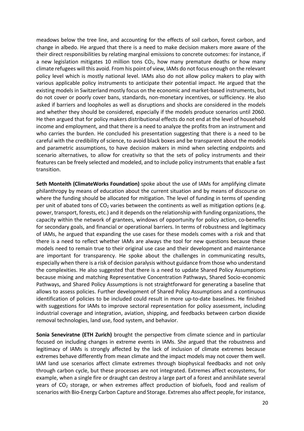meadows below the tree line, and accounting for the effects of soil carbon, forest carbon, and change in albedo. He argued that there is a need to make decision makers more aware of the their direct responsibilities by relating marginal emissions to concrete outcomes: for instance, if a new legislation mitigates 10 million tons  $CO<sub>2</sub>$ , how many premature deaths or how many climate refugees will this avoid. From his point of view, IAMs do not focus enough on the relevant policy level which is mostly national level. IAMs also do not allow policy makers to play with various applicable policy instruments to anticipate their potential impact. He argued that the existing models in Switzerland mostly focus on the economic and market-based instruments, but do not cover or poorly cover bans, standards, non-monetary incentives, or sufficiency. He also asked if barriers and loopholes as well as disruptions and shocks are considered in the models and whether they should be considered, especially if the models produce scenarios until 2060. He then argued that for policy makers distributional effects do not end at the level of household income and employment, and that there is a need to analyze the profits from an instrument and who carries the burden. He concluded his presentation suggesting that there is a need to be careful with the credibility of science, to avoid black boxes and be transparent about the models and parametric assumptions, to have decision makers in mind when selecting endpoints and scenario alternatives, to allow for creativity so that the sets of policy instruments and their features can be freely selected and modeled, and to include policy instruments that enable a fast transition.

**Seth Monteith (ClimateWorks Foundation)** spoke about the use of IAMs for amplifying climate philanthropy by means of education about the current situation and by means of discourse on where the funding should be allocated for mitigation. The level of funding in terms of spending per unit of abated tons of  $CO<sub>2</sub>$  varies between the continents as well as mitigation options (e.g. power, transport, forests, etc.) and it depends on the relationship with funding organizations, the capacity within the network of grantees, windows of opportunity for policy action, co-benefits for secondary goals, and financial or operational barriers. In terms of robustness and legitimacy of IAMs, he argued that expanding the use cases for these models comes with a risk and that there is a need to reflect whether IAMs are always the tool for new questions because these models need to remain true to their original use case and their development and maintenance are important for transparency. He spoke about the challenges in communicating results, especially when there is a risk of decision paralysis without guidance from those who understand the complexities. He also suggested that there is a need to update Shared Policy Assumptions because mixing and matching Representative Concentration Pathways, Shared Socio-economic Pathways, and Shared Policy Assumptions is not straightforward for generating a baseline that allows to assess policies. Further development of Shared Policy Assumptions and a continuous identification of policies to be included could result in more up-to-date baselines. He finished with suggestions for IAMs to improve sectoral representation for policy assessment, including industrial coverage and integration, aviation, shipping, and feedbacks between carbon dioxide removal technologies, land use, food system, and behavior.

**Sonia Seneviratne (ETH Zurich)** brought the perspective from climate science and in particular focused on including changes in extreme events in IAMs. She argued that the robustness and legitimacy of IAMs is strongly affected by the lack of inclusion of climate extremes because extremes behave differently from mean climate and the impact models may not cover them well. IAM land use scenarios affect climate extremes through biophysical feedbacks and not only through carbon cycle, but these processes are not integrated. Extremes affect ecosystems, for example, when a single fire or draught can destroy a large part of a forest and annihilate several years of CO<sub>2</sub> storage, or when extremes affect production of biofuels, food and realism of scenarios with Bio-Energy Carbon Capture and Storage. Extremes also affect people, for instance,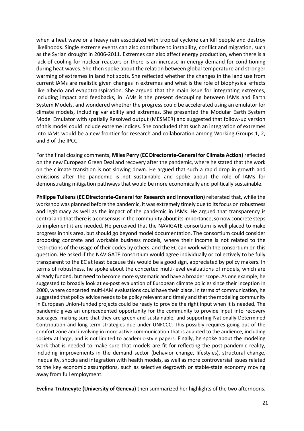when a heat wave or a heavy rain associated with tropical cyclone can kill people and destroy likelihoods. Single extreme events can also contribute to instability, conflict and migration, such as the Syrian drought in 2006-2011. Extremes can also affect energy production, when there is a lack of cooling for nuclear reactors or there is an increase in energy demand for conditioning during heat waves. She then spoke about the relation between global temperature and stronger warming of extremes in land hot spots. She reflected whether the changes in the land use from current IAMs are realistic given changes in extremes and what is the role of biophysical effects like albedo and evapotranspiration. She argued that the main issue for integrating extremes, including impact and feedbacks, in IAMs is the present decoupling between IAMs and Earth System Models, and wondered whether the progress could be accelerated using an emulator for climate models, including variability and extremes. She presented the Modular Earth System Model Emulator with spatially Resolved output (MESMER) and suggested that follow-up version of this model could include extreme indices. She concluded that such an integration of extremes into IAMs would be a new frontier for research and collaboration among Working Groups 1, 2, and 3 of the IPCC.

For the final closing comments, **Miles Perry (EC Directorate-General for Climate Action)** reflected on the new European Green Deal and recovery after the pandemic, where he stated that the work on the climate transition is not slowing down. He argued that such a rapid drop in growth and emissions after the pandemic is not sustainable and spoke about the role of IAMs for demonstrating mitigation pathways that would be more economically and politically sustainable.

**Philippe Tulkens (EC Directorate-General for Research and Innovation)** reiterated that, while the workshop was planned before the pandemic, it was extremely timely due to its focus on robustness and legitimacy as well as the impact of the pandemic in IAMs. He argued that transparency is central and that there is a consensus in the community aboutits importance, so now concrete steps to implement it are needed. He perceived that the NAVIGATE consortium is well placed to make progress in this area, but should go beyond model documentation. The consortium could consider proposing concrete and workable business models, where their income is not related to the restrictions of the usage of their codes by others, and the EC can work with the consortium on this question. He asked if the NAVIGATE consortium would agree individually or collectively to be fully transparent to the EC at least because this would be a good sign, appreciated by policy makers. In terms of robustness, he spoke about the concerted multi-level evaluations of models, which are already funded, but need to become more systematic and have a broader scope. As one example, he suggested to broadly look at ex-post evaluation of European climate policies since their inception in 2000, where concerted multi-IAM evaluations could have their place. In terms of communication, he suggested that policy advice needs to be policy relevant and timely and that the modeling community in European Union-funded projects could be ready to provide the right input when it is needed. The pandemic gives an unprecedented opportunity for the community to provide input into recovery packages, making sure that they are green and sustainable, and supporting Nationally Determined Contribution and long-term strategies due under UNFCCC. This possibly requires going out of the comfort zone and involving in more active communication that is adapted to the audience, including society at large, and is not limited to academic-style papers. Finally, he spoke about the modeling work that is needed to make sure that models are fit for reflecting the post-pandemic reality, including improvements in the demand sector (behavior change, lifestyles), structural change, inequality, shocks and integration with health models, as well as more controversial issues related to the key economic assumptions, such as selective degrowth or stable-state economy moving away from full employment.

**Evelina Trutnevyte (University of Geneva)** then summarized her highlights of the two afternoons.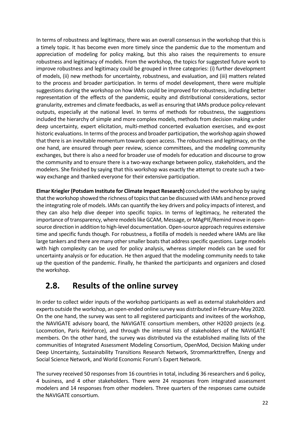In terms of robustness and legitimacy, there was an overall consensus in the workshop that this is a timely topic. It has become even more timely since the pandemic due to the momentum and appreciation of modeling for policy making, but this also raises the requirements to ensure robustness and legitimacy of models. From the workshop, the topics for suggested future work to improve robustness and legitimacy could be grouped in three categories: (i) further development of models, (ii) new methods for uncertainty, robustness, and evaluation, and (iii) matters related to the process and broader participation. In terms of model development, there were multiple suggestions during the workshop on how IAMs could be improved for robustness, including better representation of the effects of the pandemic, equity and distributional considerations, sector granularity, extremes and climate feedbacks, as well as ensuring that IAMs produce policy-relevant outputs, especially at the national level. In terms of methods for robustness, the suggestions included the hierarchy of simple and more complex models, methods from decision making under deep uncertainty, expert elicitation, multi-method concerted evaluation exercises, and ex-post historic evaluations. In terms of the process and broader participation, the workshop again showed that there is an inevitable momentum towards open access. The robustness and legitimacy, on the one hand, are ensured through peer review, science committees, and the modeling community exchanges, but there is also a need for broader use of models for education and discourse to grow the community and to ensure there is a two-way exchange between policy, stakeholders, and the modelers. She finished by saying that this workshop was exactly the attempt to create such a twoway exchange and thanked everyone for their extensive participation.

**Elmar Kriegler (Potsdam Institute for Climate Impact Research)** concluded the workshop by saying that the workshop showed the richness of topics that can be discussed with IAMs and hence proved the integrating role of models. IAMs can quantify the key drivers and policy impacts of interest, and they can also help dive deeper into specific topics. In terms of legitimacy, he reiterated the importance of transparency, where models like GCAM, Message, or MAgPIE/Remind move in opensource direction in addition to high-level documentation. Open-source approach requires extensive time and specific funds though. For robustness, a flotilla of models is needed where IAMs are like large tankers and there are many other smaller boats that address specific questions. Large models with high complexity can be used for policy analysis, whereas simpler models can be used for uncertainty analysis or for education. He then argued that the modeling community needs to take up the question of the pandemic. Finally, he thanked the participants and organizers and closed the workshop.

#### **2.8. Results of the online survey**

In order to collect wider inputs of the workshop participants as well as external stakeholders and experts outside the workshop, an open-ended online survey was distributed in February-May 2020. On the one hand, the survey was sent to all registered participants and invitees of the workshop, the NAVIGATE advisory board, the NAVIGATE consortium members, other H2020 projects (e.g. Locomotion, Paris Reinforce), and through the internal lists of stakeholders of the NAVIGATE members. On the other hand, the survey was distributed via the established mailing lists of the communities of Integrated Assessment Modeling Consortium, OpenMod, Decision Making under Deep Uncertainty, Sustainability Transitions Research Network, Strommarkttreffen, Energy and Social Science Network, and World Economic Forum's Expert Network.

The survey received 50 responses from 16 countries in total, including 36 researchers and 6 policy, 4 business, and 4 other stakeholders. There were 24 responses from integrated assessment modelers and 14 responses from other modelers. Three quarters of the responses came outside the NAVIGATE consortium.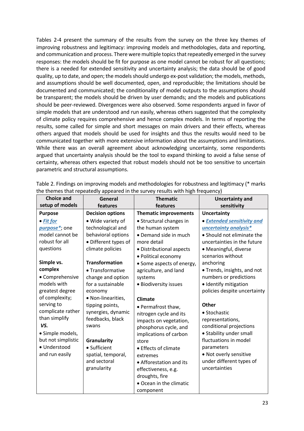Tables 2-4 present the summary of the results from the survey on the three key themes of improving robustness and legitimacy: improving models and methodologies, data and reporting, and communication and process. There were multiple topics that repeatedly emerged in the survey responses: the models should be fit for purpose as one model cannot be robust for all questions; there is a needed for extended sensitivity and uncertainty analysis; the data should be of good quality, up to date, and open; the models should undergo ex-post validation; the models, methods, and assumptions should be well documented, open, and reproducible; the limitations should be documented and communicated; the conditionality of model outputs to the assumptions should be transparent; the models should be driven by user demands; and the models and publications should be peer-reviewed. Divergences were also observed. Some respondents argued in favor of simple models that are understood and run easily, whereas others suggested that the complexity of climate policy requires comprehensive and hence complex models. In terms of reporting the results, some called for simple and short messages on main drivers and their effects, whereas others argued that models should be used for insights and thus the results would need to be communicated together with more extensive information about the assumptions and limitations. While there was an overall agreement about acknowledging uncertainty, some respondents argued that uncertainty analysis should be the tool to expand thinking to avoid a false sense of certainty, whereas others expected that robust models should not be too sensitive to uncertain parametric and structural assumptions.

| <b>Choice and</b>  | General                 | <b>Thematic</b>              | <b>Uncertainty and</b>       |
|--------------------|-------------------------|------------------------------|------------------------------|
| setup of models    | features                | features                     | sensitivity                  |
| <b>Purpose</b>     | <b>Decision options</b> | <b>Thematic improvements</b> | <b>Uncertainty</b>           |
| $\bullet$ Fit for  | · Wide variety of       | • Structural changes in      | • Extended sensitivity and   |
| purpose*; one      | technological and       | the human system             | uncertainty analysis*        |
| model cannot be    | behavioral options      | • Demand side in much        | • Should not eliminate the   |
| robust for all     | • Different types of    | more detail                  | uncertainties in the future  |
| questions          | climate policies        | • Distributional aspects     | · Meaningful, diverse        |
|                    |                         | · Political economy          | scenarios without            |
| Simple vs.         | <b>Transformation</b>   | • Some aspects of energy,    | anchoring                    |
| complex            | • Transformative        | agriculture, and land        | • Trends, insights, and not  |
| • Comprehensive    | change and option       | systems                      | numbers or predictions       |
| models with        | for a sustainable       | · Biodiversity issues        | · Identify mitigation        |
| greatest degree    | economy                 |                              | policies despite uncertainty |
| of complexity;     | · Non-linearities,      | <b>Climate</b>               |                              |
| serving to         | tipping points,         | • Permafrost thaw,           | <b>Other</b>                 |
| complicate rather  | synergies, dynamic      | nitrogen cycle and its       | • Stochastic                 |
| than simplify      | feedbacks, black        | impacts on vegetation,       | representations,             |
| VS.                | swans                   | phosphorus cycle, and        | conditional projections      |
| · Simple models,   |                         | implications of carbon       | • Stability under small      |
| but not simplistic | Granularity             | store                        | fluctuations in model        |
| · Understood       | • Sufficient            | • Effects of climate         | parameters                   |
| and run easily     | spatial, temporal,      | extremes                     | • Not overly sensitive       |
|                    | and sectoral            | • Afforestation and its      | under different types of     |
|                    | granularity             | effectiveness, e.g.          | uncertainties                |
|                    |                         | droughts, fire               |                              |
|                    |                         | • Ocean in the climatic      |                              |
|                    |                         | component                    |                              |

Table 2. Findings on improving models and methodologies for robustness and legitimacy (\* marks the themes that repeatedly appeared in the survey results with high frequency)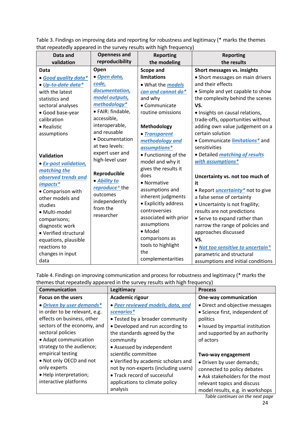Table 3. Findings on improving data and reporting for robustness and legitimacy (\* marks the themes that repeatedly appeared in the survey results with high frequency)

| Data and<br>validation | <b>Openness and</b><br>reproducibility | <b>Reporting</b><br>the modeling | <b>Reporting</b><br>the results                       |
|------------------------|----------------------------------------|----------------------------------|-------------------------------------------------------|
| Data                   | Open                                   | <b>Scope and</b>                 | Short messages vs. insights                           |
| · Good quality data*   | · Open data,<br>code,                  | <b>limitations</b>               | • Short messages on main drivers<br>and their effects |
| • Up-to-date data*     | documentation,                         | • What the <i>models</i>         |                                                       |
| with the latest        | model outputs,                         | can and cannot do*               | • Simple and yet capable to show                      |
| statistics and         | methodology*                           | and why                          | the complexity behind the scenes                      |
| sectoral analyses      | · FAIR: findable,                      | • Communicate                    | VS.                                                   |
| • Good base-year       | accessible,                            | routine omissions                | • Insights on causal relations,                       |
| calibration            | interoperable,                         |                                  | trade-offs, opportunities without                     |
| • Realistic            | and reusable                           | Methodology                      | adding own value judgement on a                       |
| assumptions            | • Documentation                        | • Transparent                    | certain solution                                      |
|                        | at two levels:                         | methodology and                  | • Communicate <i>limitations</i> * and                |
|                        | expert user and                        | assumptions*                     | sensitivities                                         |
| <b>Validation</b>      | high-level user                        | • Functioning of the             | · Detailed matching of results                        |
| • Ex-post validation,  |                                        | model and why it                 | with assumptions*                                     |
| matching the           | Reproducible                           | gives the results it             |                                                       |
| observed trends and    | • Ability to                           | does                             | Uncertainty vs. not too much of                       |
| impacts*               | reproduce* the                         | • Normative                      | it                                                    |
| • Comparison with      | outcomes                               | assumptions and                  | . Report <i>uncertainty</i> <sup>*</sup> not to give  |
| other models and       |                                        | inherent judgments               | a false sense of certainty                            |
| studies                | independently<br>from the              | • Explicitly address             | • Uncertainty is not fragility;                       |
| · Multi-model          | researcher                             | controversies                    | results are not predictions                           |
| comparisons;           |                                        | associated with prior            | • Serve to expand rather than                         |
| diagnostic work        |                                        | assumptions                      | narrow the range of policies and                      |
| • Verified structural  |                                        | • Model                          | approaches discussed                                  |
| equations, plausible   |                                        | comparisons as                   | VS.                                                   |
| reactions to           |                                        | tools to highlight               | • Not too sensitive to uncertain*                     |
| changes in input       |                                        | the                              | parametric and structural                             |
| data                   |                                        | complementarities                | assumptions and initial conditions                    |

Table 4. Findings on improving communication and process for robustness and legitimacy (\* marks the themes that repeatedly appeared in the survey results with high frequency)

| <b>Communication</b>                                                                                                                                                                               | Legitimacy                                                                                                                                                                                      | <b>Process</b>                                                                                                                                                                       |
|----------------------------------------------------------------------------------------------------------------------------------------------------------------------------------------------------|-------------------------------------------------------------------------------------------------------------------------------------------------------------------------------------------------|--------------------------------------------------------------------------------------------------------------------------------------------------------------------------------------|
| Focus on the users                                                                                                                                                                                 | Academic rigour                                                                                                                                                                                 | <b>One-way communication</b>                                                                                                                                                         |
| • Driven by user demands*<br>in order to be relevant, e.g.<br>effects on business, other<br>sectors of the economy, and<br>sectoral policies<br>• Adapt communication<br>strategy to the audience; | • Peer reviewed models, data, and<br>scenarios*<br>• Tested by a broader community<br>• Developed and run according to<br>the standards agreed by the<br>community<br>• Assessed by independent | • Direct and objective messages<br>• Science first, independent of<br>politics<br>• Issued by impartial institution<br>and supported by an authority<br>of actors                    |
| empirical testing<br>. Not only OECD and not<br>only experts<br>• Help interpretation;<br>interactive platforms                                                                                    | scientific committee<br>• Verified by academic scholars and<br>not by non-experts (including users)<br>• Track record of successful<br>applications to climate policy<br>analysis               | Two-way engagement<br>• Driven by user demands;<br>connected to policy debates<br>• Ask stakeholders for the most<br>relevant topics and discuss<br>model results, e.g. in workshops |

24 *Table continues on the next page*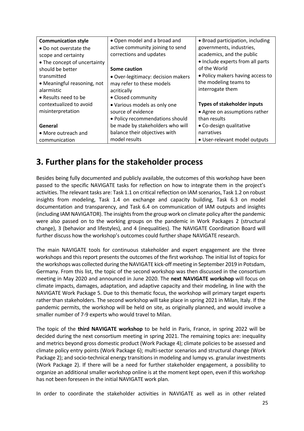| <b>Communication style</b>   | • Open model and a broad and       | • Broad participation, including   |
|------------------------------|------------------------------------|------------------------------------|
| • Do not overstate the       | active community joining to send   | governments, industries,           |
| scope and certainty          | corrections and updates            | academics, and the public          |
| • The concept of uncertainty |                                    | • Include experts from all parts   |
| should be better             | Some caution                       | of the World                       |
| transmitted                  | • Over-legitimacy: decision makers | • Policy makers having access to   |
| • Meaningful reasoning, not  | may refer to these models          | the modeling teams to              |
| alarmistic                   | acritically                        | interrogate them                   |
| • Results need to be         | • Closed community                 |                                    |
| contextualized to avoid      | • Various models as only one       | <b>Types of stakeholder inputs</b> |
| misinterpretation            | source of evidence                 | • Agree on assumptions rather      |
|                              | • Policy recommendations should    | than results                       |
| General                      | be made by stakeholders who will   | • Co-design qualitative            |
| • More outreach and          | balance their objectives with      | narratives                         |
| communication                | model results                      | · User-relevant model outputs      |

### **3. Further plans for the stakeholder process**

Besides being fully documented and publicly available, the outcomes of this workshop have been passed to the specific NAVIGATE tasks for reflection on how to integrate them in the project's activities. The relevant tasks are: Task 1.1 on critical reflection on IAM scenarios, Task 1.2 on robust insights from modeling, Task 1.4 on exchange and capacity building, Task 6.3 on model documentation and transparency, and Task 6.4 on communication of IAM outputs and insights (including IAM NAVIGATOR). The insights from the group work on climate policy after the pandemic were also passed on to the working groups on the pandemic in Work Packages 2 (structural change), 3 (behavior and lifestyles), and 4 (inequalities). The NAVIGATE Coordination Board will further discuss how the workshop's outcomes could further shape NAVIGATE research.

The main NAVIGATE tools for continuous stakeholder and expert engagement are the three workshops and this report presents the outcomes of the first workshop. The initial list of topics for the workshops was collected during the NAVIGATE kick-off meeting in September 2019 in Potsdam, Germany. From this list, the topic of the second workshop was then discussed in the consortium meeting in May 2020 and announced in June 2020. The **next NAVIGATE workshop** will focus on climate impacts, damages, adaptation, and adaptive capacity and their modeling, in line with the NAVIGATE Work Package 5. Due to this thematic focus, the workshop will primary target experts rather than stakeholders. The second workshop will take place in spring 2021 in Milan, Italy. If the pandemic permits, the workshop will be held on site, as originally planned, and would involve a smaller number of 7-9 experts who would travel to Milan.

The topic of the **third NAVIGATE workshop** to be held in Paris, France, in spring 2022 will be decided during the next consortium meeting in spring 2021. The remaining topics are: inequality and metrics beyond gross domestic product (Work Package 4); climate policies to be assessed and climate policy entry points (Work Package 6); multi-sector scenarios and structural change (Work Package 2); and socio-technical energy transitions in modeling and lumpy vs. granular investments (Work Package 2). If there will be a need for further stakeholder engagement, a possibility to organize an additional smaller workshop online is at the moment kept open, even if this workshop has not been foreseen in the initial NAVIGATE work plan.

In order to coordinate the stakeholder activities in NAVIGATE as well as in other related